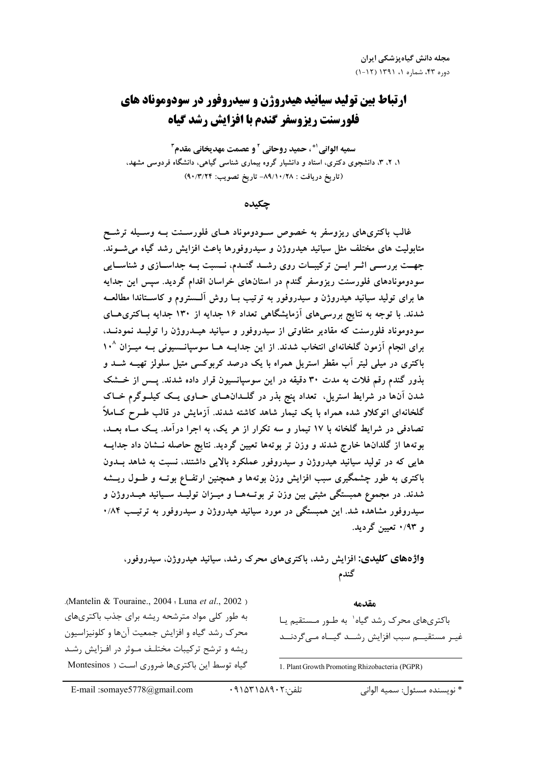# **ارتباط بین تولید سیانید هیدروژن و سیدروفور در سودوموناد های** فلورسنت ريزوسفر گندم يا افزايش رشد گياه

سميه الواني '\*، حميد روحاني ` و عصمت مهديخاني مقدم ّ ۱، ۲، ۳، دانشجوی دکتری، استاد و دانشیار گروه بیماری شناسی گیاهی، دانشگاه فردوسی مشهد، (تاریخ دریافت : ۸۹/۱۰/۲۸– تاریخ تصویب: ۹۰/۳/۲۴)

حكىدە

غالب باکتریهای ریزوسفر به خصوص سـودوموناد هــای فلورســنت بــه وســیله ترشــح متابولیت های مختلف مثل سیانید هیدروژن و سیدروفورها باعث افزایش رشد گیاه می شــوند. جهــت بررســي اثــر ايــن تركيبــات روى رشــد گنــدم، نــسبت بــه جداســازي و شناســايي سودومونادهای فلورسنت ریزوسفر گندم در استانهای خراسان اقدام گردید. سپس این جدایه ها برای تولید سیانید هیدروژن و سیدروفور به ترتیب بــا روش آلــستروم و کاســتاندا مطالعــه شدند. با توجه به نتایج بررسی های آزمایشگاهی تعداد ۱۶ جدایه از ۱۳۰ جدایه بـاکتری هــای سودوموناد فلورسنت که مقادیر متفاوتی از سیدروفور و سیانید هیــدروژن را تولیــد نمودنــد، برای انجام آزمون گلخانهای انتخاب شدند. از این جدایــه هــا سوسیانــسیونی بــه میــزان ۱۰<sup>۸</sup> باکتری در میلی لیتر آب مقطر استریل همراه با یک درصد کربوکسی متیل سلولز تهیــه شــد و بذور گندم رقم فلات به مدت ۳۰ دقیقه در این سوسپانسیون قرار داده شدند. پــس از خــشک شدن آنها در شرایط استریل، تعداد پنج بذر در گلــدانهــای حــاوی یــک کیلــوگرم خــاک گلخانهای اتوکلاو شده همراه با یک تیمار شاهد کاشته شدند. آزمایش در قالب طــرح کــاملاً تصادفی در شرایط گلخانه با ۱۷ تیمار و سه تکرار از هر یک، به اجرا درآمد. یـک مـاه بعــد، بوتهها از گلدانها خارج شدند و وزن تر بوتهها تعیین گردید. نتایج حاصله نــشان داد جدایــه هایی که در تولید سیانید هیدروژن و سیدروفور عملکرد بالایی داشتند، نسبت به شاهد بــدون باکتری به طور چشمگیری سبب افزایش وزن بوتهها و همچنین ارتفــاع بوتــه و طــول ریـــشه شدند. در مجموع همبستگی مثبتی بین وزن تر بوتـههــا و میــزان تولیــد ســیانید هیــدروژن و سیدروفور مشاهده شد. این همبستگی در مورد سیانید هیدروژن و سیدروفور به ترتیب ۸۴/۰ و ۰/۹۳ تعیین گردید.

واژههای کلیدی: افزایش رشد، باکتریهای محرک رشد، سیانید هیدروژن، سیدروفور، گندم

.(Mantelin & Touraine.,  $2004$  : Luna et al.,  $2002$ ) به طور کلی مواد مترشحه ریشه برای جذب باکتریهای محرک رشد گياه و افزايش جمعيت آنها و کلونيزاسيون ریشه و ترشح ترکیبات مختلـف مـوثر در افـزایش رشـد گیاه توسط این باکتریها ضروری است ( Montesinos

باکتریهای محرک رشد گیاه` به طـور مـستقیم یـا غیـر مستقیـــم سبب افزایش رشـــد گیـــاه مــی گردنـــد

مقدمه

1. Plant Growth Promoting Rhizobacteria (PGPR)

تلفن:٢٠٩١۵٨٩٠٢

\* نويسنده مسئول: سميه الواني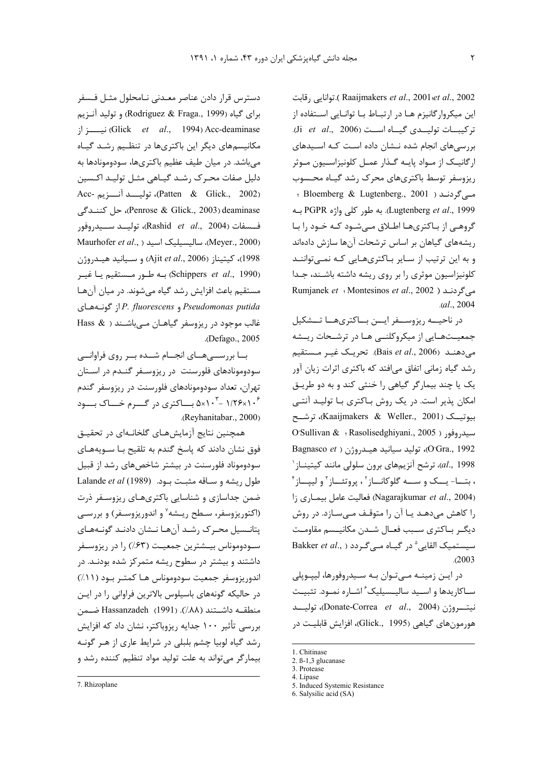توانايي , قابت (Raaijmakers *et al.*, 2001 et al., 2002 این میکروارگانیزم هـا در ارتبـاط بـا توانـایی اسـتفاده از تركيبات توليـدى گيـاه اسـت (Ji et al., 2006). بررسی های انجام شده نــشان داده اسـت کــه اســیدهای ارگانیک از مـواد پایـه گـذار عمـل کلونیزاسـیون مـوثر ریزوسفر توسط باکتریهای محرک رشد گیاه محسوب مے گردنــد ( Bloemberg & Lugtenberg., 2001 ؛ Lugtenberg et al., 1999). به طور كلي واژه PGPR بــه گروهبی از باکتریها اطلاق مبیشود کـه خـود را بـا ریشههای گیاهان بر اساس ترشحات آنها سازش دادهاند و به این ترتیب از سایر باکتریهایی که نمیتوانند كلونيزاسيون موثري رابر روى ريشه داشته باشند، جدا می گردنـد ( Rumjanek *et* : Montesinos *et al.*, 2002  $. (al., 2004)$ 

در ناحیـــه ریزوســـفر ایـــن بـــاکتریهـــا تـــشکیل جمعیـتهـایی از میکروکلنـی هـا در ترشـحات ریـشه می دهنــد (Bais et al., 2006). تحریــک غیــر مـستقیم رشد گیاه زمانی اتفاق میافتد که باکتری اثرات زیان آور یک یا چند بیمارگر گیاهی را خنثی کند و به دو طریق امکان پذیر است. در یک روش باکتری با تولیـد آنتـی بيوتيك (Kaaijmakers & Weller., 2001)، ترشيح O'Sullivan & : Rasolisedghiyani., 2005 ) مسيدروفور Bagnasco et ) ، توليد سيانيد هيدروژن ( Bagnasco et al., 1998)، ترشح آنزیمهای برون سلولی مانند کیتینـاز<sup>\</sup> ، بتــا- يــک و ســه گلوکانــاز`، پروتئــاز` و لييــاز` (Nagarajkumar et al., 2004) فعاليت عامل بيماري زا را کاهش میدهـد یـا آن را متوقـف مـیسـازد. در روش ديگر باكترى سبب فعال شدن مكانيمه مقاومت Bakker et al., ) سیستمیک القایی  $^{\circ}$  در گیاه مے گردد  $.2003$ 

در ایـن زمینــه مــیتـوان بــه ســیدروفورها، لیپــوپلی ساكاريدها واسيد ساليسيليك ٔ اشاره نمود. تثبيت نيتروژن (Donate-Correa et al., 2004)، توليسد هورمونهای گیاهی (Glick., 1995)، افزایش قابلیت در

دسترس قرار دادن عناصر معـدنی نـامحلول مثـل فـسفر برای گیاه (Rodriguez & Fraga., 1999) و تولید آنـزیم نيسة (Glick *et al.*, 1994) Acc-deaminase مکانیسمهای دیگر این باکتریها در تنظـیم رشـد گیـاه میباشد. در میان طیف عظیم باکتریها، سودومونادها به دلیل صفات محـرک رشـد گیـاهی مثـل تولیـد اکـسین Acc- رقايســد آنـــزيم) (Patten & Glick., 2002) Penrose & Glick., 2003) deaminase، حل كننىدگى فــسفات (Rashid *et al.*, 2004)، توليــد ســيدروفور Meyer., 2000)، ساليسيليک اسيد (Meyer., 2000) 1998)، كيتيناز (Ajit et al., 2006) و سـيانيد هيـدروژن (Schippers et al., 1990) به طور مستقیم یا غیـر مستقیم باعث افزایش رشد گیاه میشوند. در میان آنها Pseudomonas putida و P. fluorescens إز گونــههـاى غالب موجود در ریزوسفر گیاهـان مــی باشـند ( & Hass .(Defago., 2005

با بررســیهـای انجـام شــده بــر روی فراوانـــی سودومونادهای فلورسنت در ریزوسفر گنـدم در اسـتان تهران، تعداد سودومونادهای فلورسنت در ریزوسفر گندم ۵×۱۰<sup>۴</sup> - ۵×۱۰<sup>۴</sup> بساکتری در گسرم خساک بسود .(Reyhanitabar., 2000)

همچنین نتایج آزمایشهـای گلخانـهای در تحقیـق فوق نشان دادند که پاسخ گندم به تلقیح بـا ســویههـای سودوموناد فلورسنت در بیشتر شاخصهای رشد از قبیل لطول ريشه و سباقه مثبت بـود. (Lalande et al (1989) ضمن جداسازی و شناسایی باکتریهـای ریزوسـفر ذرت (اکتوریزوسفر، سـطح ریـشه<sup>۷</sup> و اندوریزوسـفر) و بررسـی یتانـسیل محـرک رشـد آنهـا نـشان دادنـد گونـههـای سـودوموناس بيــشترين جمعيــت (۶۳٪) را در ريزوســفر داشتند و بیشتر در سطوح ریشه متمرکز شده بودنـد. در اندوريزوسفر جمعيت سودوموناس هـا كمتـر بـود (١١٪) در حالیکه گونههای باسیلوس بالاترین فراوانی را در ایـن منطقـه داشــتند (٨٨٪). (1991) Hassanzadeh ضـمن بررسی تأثیر ۱۰۰ جدایه ریزوباکتر، نشان داد که افزایش رشد گیاه لوبیا چشم بلبلی در شرایط عاری از هـر گونـه بیمارگر می تواند به علت تولید مواد تنظیم کننده رشد و

<sup>1.</sup> Chitinase

<sup>2.</sup>  $\beta$ -1.3 glucanase

<sup>3.</sup> Protease

<sup>4.</sup> Lipase

<sup>5.</sup> Induced Systemic Resistance

<sup>6.</sup> Salysilic acid (SA)

<sup>7.</sup> Rhizoplane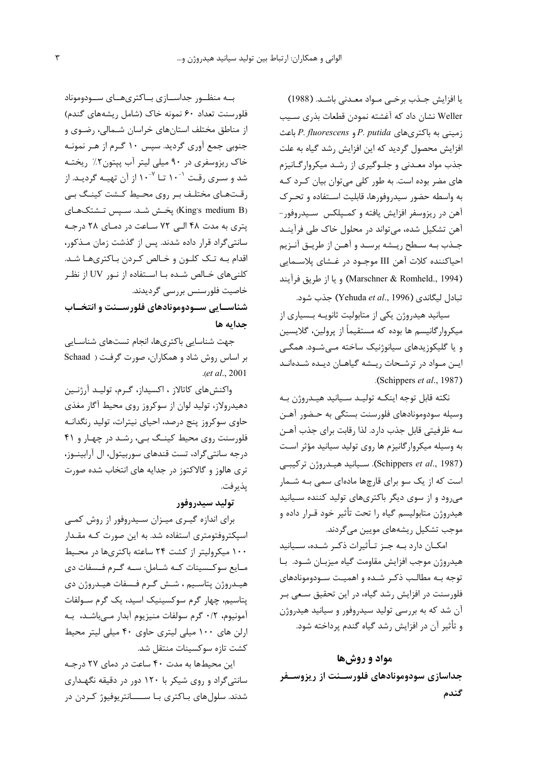يا افزايش جـذب برخـى مـواد معـدنى باشـد. (1988) Weller نشان داد که آغشته نمودن قطعات بذرى سـيب زمینی به باکتریهای P. putida و P. fluorescens باعث افزایش محصول گردید که این افزایش رشد گیاه به علت جذب مواد معـدنی و جلـوگیری از رشـد میکروارگـانیزم های مضر بوده است. به طور کلی می توان بیان کـرد کـه به واسطه حضور سيدروفورها، قابليت استفاده و تحرك آهن در ریزوسفر افزایش یافته و کمـیلکس سـیدروفور -آهن تشکیل شده، می تواند در محلول خاک طی فرآینـد جـذب بـه سـطح ريـشه برسـد و آهـن از طريـق آنـزيم احیاکننده کلات آهن III موجـود در غـشای پلاسـمایی (Marschner & Romheld., 1994) ويا از طريق فرآيند تبادل ليگاندي (Yehuda et al., 1996) جذب شود.

سیانید هیدروژن یکی از متابولیت ثانویـه بـسیاری از میکروار گانیسم ها بوده که مستقیماً از پرولین، گلایسین و یا گلیکوزیدهای سیانوژنیک ساخته مے شـود. همگـی ایـن مـواد در ترشـحات ریـشه گیاهـان دیـده شـدهانـد .(Schippers et al., 1987).

نكته قابل توجه اينكـه توليـد سـيانيد هيـدروژن بـه وسیله سودومونادهای فلورسنت بستگی به حـضور آهـن سه ظرفیتی قابل جذب دارد. لذا رقابت برای جذب آهـن به وسیله میکروارگانیزم ها روی تولید سیانید مؤثر است (Schippers et al., 1987). سيانيد هيدروژن تركيبي است که از یک سو برای قارچها مادهای سمی بـه شـمار می رود و از سوی دیگر باکتریهای تولید کننده سـیانید هيدروژن متابوليسم گياه را تحت تأثير خود قـرار داده و موجب تشکیل <sub>د</sub>یشههای مویین م*ی گ*ردند.

امکــان دارد بــه جــز تــأثيرات ذکــر شــده، ســيانيد هيدروژن موجب افزايش مقاومت گياه ميزبـان شـود. بـا توجه بـه مطالـب ذكـر شـده و اهميـت سـودومونادهاى فلورسنت در افزایش رشد گیاه، در این تحقیق سعی بـر آن شد که به بررسی تولید سیدروفور و سیانید هیدروژن و تأثير آن در افزايش رشد گياه گندم پرداخته شود.

## مواد و روشها

جداسازی سودومونادهای فلورســنت از ریزوســفر گندم

بــه منظــور جداســازى بــاكترىهــاى ســودوموناد فلورسنت تعداد ۶۰ نمونه خاک (شامل ریشههای گندم) از مناطق مختلف استانهای خراسان شـمالی، رضـوی و جنوبی جمع آوری گردید. سپس ۱۰ گـرم از هـر نمونـه خاک ریزوسفری در ۹۰ میلی لیتر آب پپتون ۲٪ ریختـه شد و سـری رقـت ``۱۰ تـا <sup>۷-</sup>۱۰ از آن تهیـه گردیـد. از رقـتھـاي مختلـف بـر روي محـيط كـشت كينـگ بـي (King's medium B) پخـش شـد. سـپس تـشتکـهـای پتری به مدت ۴۸ البی ۷۲ ساعت در دمای ۲۸ درجه سانتے گراد قرار دادہ شدند. پس از گذشت زمان مـذکور، اقدام بـه تـک کلـون و خـالص کـردن بـاکترىهـا شـد. کلنیهای خـالص شـده بـا اســتفاده از نــور UV از نظـر خاصیت فلورسنس بررسی گردیدند.

شناسـایی سـودومونادهای فلورســنت و انتخــاب جدايه ها

جهت شناسایی باکتریها، انجام تستهای شناسـایی بر اساس روش شاد و همکاران، صورت گرفت ( Schaad  $. (et al., 2001)$ 

واكنش هاي كاتالاز ، اكسيداز، گـرم، توليـد آرژنـين دهیدرولاز، تولید لوان از سوکروز روی محیط آگار مغذی حاوی سوکروز پنج درصد، احیای نیترات، تولید رنگدانـه فلورسنت روی محیط کینگ بے، رشد در چهار و ۴۱ درجه سانتي گراد، تست قندهاي سوربيتول، ال آرابينــوز، تری هالوز و گالاکتوز در جدایه های انتخاب شده صورت يذيرفت.

## توليد سيدروفور

برای اندازه گیـری میـزان سـیدروفور از روش کمـی اسیکتروفتومتری استفاده شد. به این صورت کـه مقـدار ۱۰۰ میکرولیتر از کشت ۲۴ ساعته باکتریها در محـیط مـايع سوكـسينات كـه شـامل: سـه گـرم فـسفات دى هيـدروژن پتاسـيم ، شـش گـرم فـسفات هيـدروژن دي يتاسيم، چهار گرم سوكسينيک اسيد، يک گرم سـولفات آمونيوم، ٢/٠ گرم سولفات منيزيوم آبدار مے باشـد، بـه ارلن های ۱۰۰ میلی لیتری حاوی ۴۰ میلی لیتر محیط كشت تازه سوكسينات منتقل شد.

این محیطها به مدت ۴۰ ساعت در دمای ۲۷ درجـه سانتی گراد و روی شیکر با ۱۲۰ دور در دقیقه نگهـداری شدند. سلول های بـاکتری بـا ســـــانتریوفیوژ کـردن در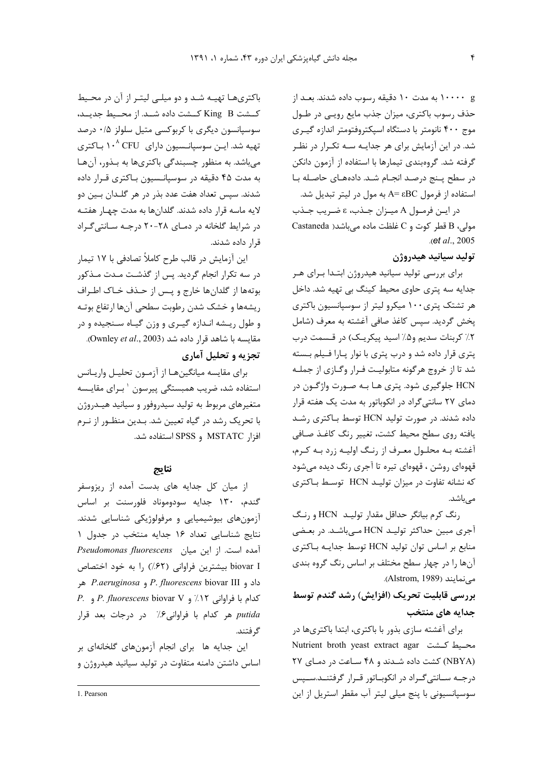g ۱۰۰۰۰ به مدت ۱۰ دقیقه <sub>د</sub>سوب داده شدند. بعـد از حذف رسوب باكترى، ميزان جذب مايع رويبي در طـول موج ۴۰۰ نانومتر با دستگاه اسپکتروفتومتر اندازه گیری شد. در این آزمایش برای هر جدایـه سـه تکـرار در نظـر گرفته شد. گروهبندی تیمارها با استفاده از آزمون دانکن در سطح پنج درصد انجام شد. دادههای حاصله با استفاده از فرمول A= εBC به مول در ليتر تبديل شد.

در ايـن فرمـول A ميـزان جـذب، ع ضـريب جـذب Castaneda حولی، B قطر کوت و C غلظت ماده می باشد( Castaneda  $a.e.$  (et al., 2005).

توليد سيانيد هيدروژن

برای بررسی تولید سیانید هیدروژن ابتدا برای هر جدایه سه پتری حاوی محیط کینگ بی تهیه شد. داخل هر تشتک پتری۱۰۰ میکرو لیتر از سوسپانسیون باکتری يخش گرديد. سيس كاغذ صافي آغشته به معرف (شامل ٢٪ كربنات سديم و۵٪ اسيد پيكريـك) در قـسمت درب پتری قرار داده شد و درب پتری با نوار پارا فیلم بسته شد تا از خروج هرگونه متابولیت فـرار وگـازي از جملـه HCN جلوگیری شود. پتری هـا بـه صـورت واژگـون در دمای ۲۷ سانتیگراد در انکوباتور به مدت یک هفته قرار داده شدند. در صورت تولید HCN توسط باکتری رشد يافته روى سطح محيط كشت، تغيير رنگ كاغـذ صـافى أغشته بـه محلـول معـرف از رنـگ اوليـه زرد بـه كـرم، قهوهای روشن ، قهوهای تیره تا آجری رنگ دیده میشود که نشانه تفاوت در میزان تولیـد HCN توسـط بـاکتری مىباشد.

رنگ کرم بیانگر حداقل مقدار تولیـد HCN و رنگ آجری مبین حداکثر تولیـد HCN مـیباشـد. در بعـضی منابع بر اساس توان توليد HCN توسط جدايـه بـاكترى آنها را در چهار سطح مختلف بر اساس رنگ گروه بندی می نمایند (Alstrom, 1989).

بررسی قابلیت تحریک (افزایش) رشد گندم توسط جدایه های منتخب

برای آغشته سازی بذور با باکتری، ابتدا باکتریها در Nutrient broth yeast extract agar محيط كـشت (NBYA) کشت داده شدند و ۴۸ ساعت در دمای ۲۷ درجـه سـانتي گـراد در انكوبـاتور قـرار گرفتنـد.سـيس سوسیانسیونی با پنج میلی لیتر آب مقطر استریل از این

باکتریها تهیـه شـد و دو میلـی لیتـر از آن در محـیط كـشت King B كــشت داده شــد. از محــيط جديــد، سوسپانسون دیگری با کربوکسی متیل سلولز ۰/۵ درصد تهیه شد. ایــن سوسپانــسیون دارای CFU ۱۰<sup>۸</sup> بـاکتری میباشد. به منظور چسبندگی باکتریها به بـذور، آنهـا به مدت ۴۵ دقیقه در سوسیانـسیون بـاکتری قـرار داده شدند. سيس تعداد هفت عدد بذر در هر گلــدان بــين دو لايه ماسه قرار داده شدند. گلدانها به مدت چهـار هفتـه در شرایط گلخانه در دمای ۲۸-۲۰ درجه سانتی گراد قرار داده شدند.

این آزمایش در قالب طرح کاملاً تصادفی با ۱۷ تیمار در سه تکرار انجام گردید. پس از گذشت مـدت مـذکور بوتهها از گلدانها خارج و پس از حـذف خـاک اطـراف ريشهها و خشک شدن رطوبت سطحي آنها ارتفاع بوتـه و طول ریشه انـدازه گیـری و وزن گیـاه سـنجیده و در مقايسه با شاهد قرار داده شد (Ownley et al., 2003). تجزیه و تحلیل آماری

برای مقایسه میانگینهـا از آزمـون تحلیـل واریـانس استفاده شد، ضریب همبستگی پیرسون ` بـرای مقایـسه متغیرهای مربوط به تولید سیدروفور و سیانید هیـدروژن با تحریک رشد در گیاه تعیین شد. بـدین منظـور از نـرم افزا, MSTATC و SPSS استفاده شد.

## نتايج

از میان کل جدایه های بدست آمده از ریزوسفر گندم، ۱۳۰ جدایه سودوموناد فلورسنت بر اساس آزمونهای بیوشیمیایی و مرفولوژیکی شناسایی شدند. نتايج شناسايي تعداد ١۶ جدايه منتخب در جدول ١ Pseudomonas fluorescens [1101] . Pseudomonas fluorescens biovar I بیشترین فراوانی (۶۲٪) را به خود اختصاص داد و P. fluorescens biovar III و P. aeruginosa هر P. fluorescens biovar V و P. fluorescens biovar V. putida هر كدام با فراواني ۶٪ در درجات بعد قرار گر فتند.

این جدایه ها برای انجام آزمونهای گلخانهای بر اساس داشتن دامنه متفاوت در تولید سیانید هیدروژن و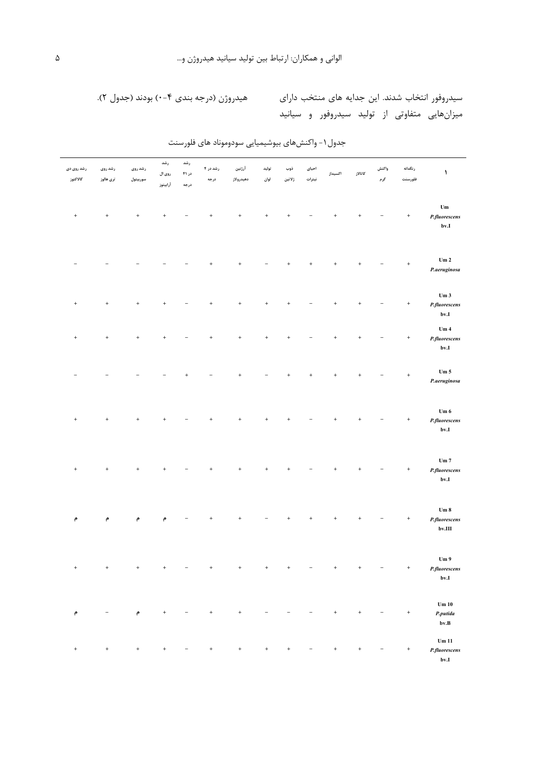## سیدروفور انتخاب شدند. این جدایه های منتخب دارای مسلمه هیدروژن (درجه بندی ۴-۰) بودند (جدول ۲). میزانهایی متفاوتی از تولید سیدروفور و سیانید

| كاتالاز<br>اكسيداز                   | ڏوب<br>احیای<br>ژلاتين<br>نيترات | توليد<br>لوان    | آرژنین<br>دهيدرولاز | رشد در ۴<br>درجه  | رشد<br>در ۴۱<br>درجه | رشد<br>روی ال<br>أرابيتوز | رشد روی<br>سوربيتول              | رشد روی<br>ترى ھالوز | رشد روی دی<br>كالاكتوز |
|--------------------------------------|----------------------------------|------------------|---------------------|-------------------|----------------------|---------------------------|----------------------------------|----------------------|------------------------|
| $\ddot{}$                            | $\begin{array}{c} + \end{array}$ | $^{\mathrm{+}}$  | $^{\mathrm{+}}$     | $\ddot{}$         |                      | $^{\mathrm{+}}$           | $^+$                             | $^+$                 | $^{\mathrm{+}}$        |
| $\ddot{}$<br>$\ddot{}$               | $\begin{array}{c} + \end{array}$ |                  | $\qquad \qquad +$   | $\ddot{}$         |                      |                           |                                  |                      |                        |
| $\ddot{}$                            | $\overline{+}$                   | $\ddot{}$        | $\ddot{}$           | $^{+}$            |                      | $\ddot{}$                 | $^+$                             | $^{\mathrm{+}}$      | $^{\mathrm{+}}$        |
| $\ddot{}$                            | $\overline{+}$                   | $\ddot{}$        | $\ddot{}$           | $\ddot{}$         |                      | $\ddot{}$                 | $\ddot{}$                        | $^{\mathrm{+}}$      | $^{\mathrm{+}}$        |
| $\ddot{}$<br>$\ddot{}$               | $\ddot{}$                        |                  | $\ddot{}$           |                   | $\ddot{}$            |                           |                                  |                      |                        |
| $\ddot{}$                            | $\ddot{}$                        | $\boldsymbol{+}$ | $^{\mathrm{+}}$     | $\ddot{}$         |                      | $\qquad \qquad +$         | $^+$                             | $^{\mathrm{+}}$      | $^{\mathrm{+}}$        |
| $\overline{+}$                       | $^{+}$                           |                  | $\ddot{}$           | $\ddot{}$         |                      | $\ddot{}$                 | $\begin{array}{c} + \end{array}$ | $\qquad \qquad +$    | $^{\mathrm{+}}$        |
|                                      |                                  |                  | $\overline{1}$      |                   |                      | م                         | م                                | م                    | $\mathsf{P}$           |
| $^{\mathrm{+}}$                      | $^{\rm +}$                       | $^{\mathrm{+}}$  | $^{\mathrm{+}}$     | $\, +$            |                      | $^{\mathrm{+}}$           | $^+$                             | $^{\mathrm{+}}$      | $^{\mathrm{+}}$        |
| $\qquad \qquad +$                    |                                  |                  | $\qquad \qquad +$   | $\qquad \qquad +$ |                      | $^{\mathrm{+}}$           | م                                |                      | $\pmb{\uprho}$         |
| $^{\mathrm{+}}$<br>$\qquad \qquad -$ | $^{\mathrm{+}}$                  | $^+$             | $^+$                | $^{\mathrm{+}}$   |                      | $^+$                      | $^+$                             | $^+$                 | $^{\mathrm{+}}$        |

جدول ۱- واکنشهای بیوشیمیایی سودوموناد های فلورسنت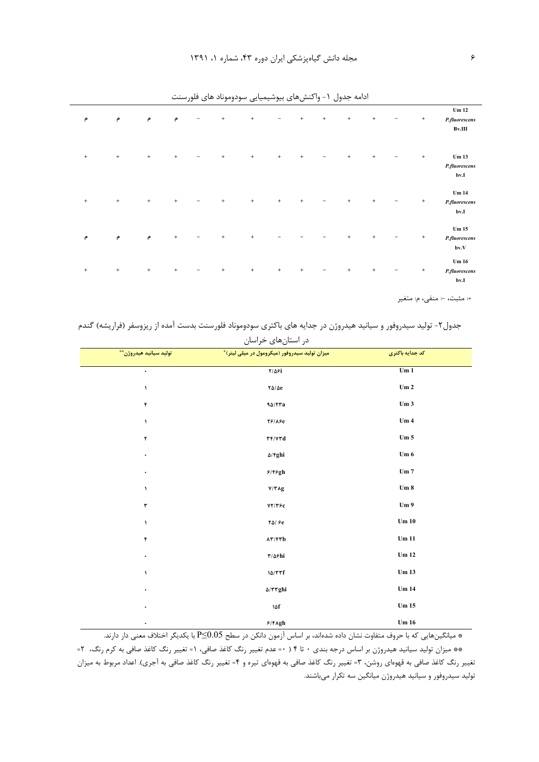| م                                | م                                                    | م               | م               |                          | $\,$ + $\,$                      | $^{\mathrm{+}}$ | $\qquad \qquad -$ | $\,$ + $\,$                      | $\begin{array}{c} + \end{array}$ | $\! +$          | $^+$            | - | $^{\mathrm{+}}$ | Um 12<br>P.fluorescens<br>Bv.III          |
|----------------------------------|------------------------------------------------------|-----------------|-----------------|--------------------------|----------------------------------|-----------------|-------------------|----------------------------------|----------------------------------|-----------------|-----------------|---|-----------------|-------------------------------------------|
| $\begin{array}{c} + \end{array}$ | $\begin{array}{c} + \end{array}$                     | $^{\mathrm{+}}$ | $\! +$          | $\qquad \qquad -$        | $\,$ + $\,$                      | $^{\mathrm{+}}$ | $^{\mathrm{+}}$   | $^+$                             | -                                | $\,$ + $\,$     | $^{\mathrm{+}}$ | - | $^{\mathrm{+}}$ | Um <sub>13</sub><br>P.fluorescens<br>bv.I |
| $^+$                             | $\,$ + $\,$                                          | $^{\mathrm{+}}$ | $^+$            | -                        | $\,$ + $\,$                      | $^{\mathrm{+}}$ | $^{\mathrm{+}}$   | $\,$ + $\,$                      | $\qquad \qquad -$                | $^+$            | $^+$            | - | $^{\mathrm{+}}$ | Um 14<br>P.fluorescens<br>bv.I            |
| م                                | $\mathsf{e}\hspace{-1.5pt}\mathsf{e}\hspace{-1.5pt}$ | $\bullet$       | $^{\mathrm{+}}$ |                          | $\,$ + $\,$                      | $^{\mathrm{+}}$ |                   |                                  |                                  | $\! +$          | $^+$            |   | $^{\mathrm{+}}$ | Um 15<br>P.fluorescens<br>bv.V            |
| $\begin{array}{c} + \end{array}$ | $\begin{array}{c} + \end{array}$                     | $^+$            | $^+$            | $\overline{\phantom{0}}$ | $\begin{array}{c} + \end{array}$ | $^{\mathrm{+}}$ | $^{\mathrm{+}}$   | $\begin{array}{c} + \end{array}$ | $\qquad \qquad -$                | $^{\mathrm{+}}$ | $^+$            | - | $^{\mathrm{+}}$ | Um 16<br>P.fluorescens<br>bv.I            |

ادامه جدول ١- واكنشهاى بيوشيميايي سودوموناد هاى فلورسنت

+: مثبت، -: منفى، م: متغير

جدول۲- تولید سیدروفور و سیانید هیدروژن در جدایه های باکتری سودوموناد فلورسنت بدست آمده از ریزوسفر (فراریشه) گندم

| تولید سیانید هیدروژن <sup>**</sup> | در استانهای خراسان<br>.<br>میزان تولید سیدروفور (میکرومول در میلی لیتر) <sup>*</sup> | كد جدايه باكترى |
|------------------------------------|--------------------------------------------------------------------------------------|-----------------|
| $\bullet$                          | $7/\Delta$ ۶i                                                                        | Um1             |
|                                    |                                                                                      | $\mathbf{Um}$ 2 |
| $\lambda$                          | $\frac{1}{2}$                                                                        |                 |
| $\pmb{\mathsf{f}}$                 | 90/77a                                                                               | Um3             |
| $\lambda$                          | <b>78/180</b>                                                                        | Um4             |
| $\mathbf r$                        | $\mathbf{r} \mathbf{r}/\mathbf{v} \mathbf{r} \mathbf{d}$                             | Um 5            |
| $\bullet$                          | $\Delta$ /fghi                                                                       | Um 6            |
| $\bullet$                          | $9/89$ gh                                                                            | Um 7            |
| $\lambda$                          | V/TAg                                                                                | Um 8            |
| $\mathbf r$                        | YY/Y                                                                                 | Um <sub>9</sub> |
| $\lambda$                          | $Y\Delta$ / $\varepsilon$                                                            | Um $10$         |
| ۴                                  | AT/FTb                                                                               | Um 11           |
| $\bullet$                          | $\mathbf{r}/\Delta\mathbf{F}$ hi                                                     | Um 12           |
| $\lambda$                          | 10/TTf                                                                               | <b>Um 13</b>    |
| $\bullet$                          | $\Delta/\Upsilon\Upsilon ghi$                                                        | Um 14           |
| ٠                                  | 14f                                                                                  | Um $15\,$       |
| $\bullet$                          | $9/6$ Agh                                                                            | Um $16\,$       |

ه میانگینهایی که با حروف متفاوت نشان داده شدهاند، بر اساس آزمون دانکن در سطح P≤0.05 با یکدیگر اختلاف معنی دار دارند. \*\* میزان تولید سیانید هیدروژن بر اساس درجه بندی ۰ تا ۴ ( ۰= عدم تغییر رنگ کاغذ صافی، ۱= تغییر رنگ کاغذ صافی به کرم رنگ، ۲= تغییر رنگ کاغذ صافی به قهوهای روشن، ۳= تغییر رنگ کاغذ صافی به قهوهای تیره و ۴= تغییر رنگ کاغذ صافی به آجری). اعداد مربوط به میزان تولید سیدروفور و سیانید هیدروژن میانگین سه تکرار میباشند.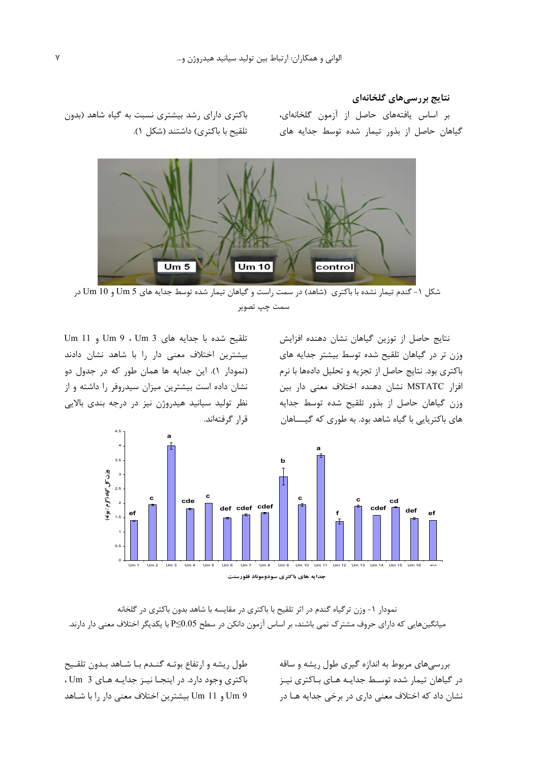## نتایج بررسی های گلخانهای

بر اساس یافتههای حاصل از آزمون گلخانهای، گیاهان حاصل از بذور تیمار شده توسط جدایه های

باکتری دارای رشد بیشتری نسبت به گیاه شاهد (بدون تلقیح با باکتری) داشتند (شکل ۱).



شکل ۱- گندم تیمار نشده با باکتری (شاهد) در سمت راست و گیاهان تیمار شده توسط جدایه های Um 5 و Um 10 در سمت چپ تصویر

نتايج حاصل از توزين گياهان نشان دهنده افزايش وزن تر در گیاهان تلقیح شده توسط بیشتر جدایه های باکتری بود. نتایج حاصل از تجزیه و تحلیل دادهها با نرم افزار MSTATC نشان دهنده اختلاف معنى دار بين وزن گیاهان حاصل از بذور تلقیح شده توسط جدایه های باکتریایی با گیاه شاهد بود. به طوری که گیــــاهان

تلقيح شده با جدايه هاى Um 3 ، Um 3 و Um 11 بیشترین اختلاف معنی دار را با شاهد نشان دادند (نمودار ١). اين جدايه ها همان طور كه در جدول دو نشان داده است بیشترین میزان سیدروفر را داشته و از نظر تولید سیانید هیدروژن نیز در درجه بندی بالایی قىل گوفتەاند.



نمودار ١- وزن ترگياه گندم در اثر تلقيح با باكترى در مقايسه با شاهد بدون باكترى در گلخانه میانگینهایی که دارای حروف مشترک نمی باشند، بر اساس آزمون دانکن در سطح P≤0.05 با یکدیگر اختلاف معنی دار دارند.

طول ریشه و ارتفاع بوتـه گنـدم بـا شـاهد بـدون تلقـیح باکتری وجود دارد. در اینجـا نیـز جدایـه هـای 3 Um، Um 9 و Um 11 بيشترين اختلاف معنى دار را با شـاهد

بررسی های مربوط به اندازه گیری طول ریشه و ساقه در گیاهان تیمار شده توسـط جدایـه هـای بـاکتری نیـز نشان داد که اختلاف معنی داری در برخی جدایه هـا در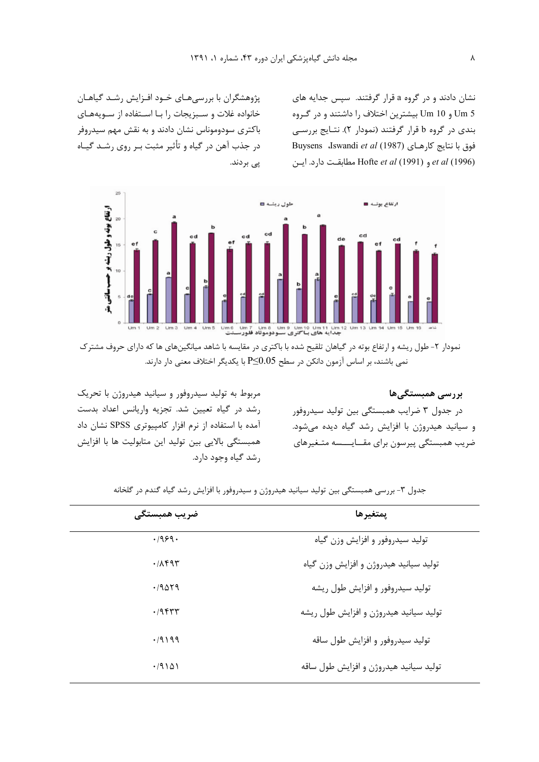نشان دادند و در گروه a قرار گرفتند. سیس جدایه های 5 Um و Um بیشترین اختلاف را داشتند و در گروه بندی در گروه b قرار گرفتند (نمودار ۲). نتـایج بررسـی Buysens dswandi et al (1987) فوق با نتايج كارهـاي et al (1996) و Hofte et al (1991) مطابقت دارد. این

پژوهشگران با بررسی هـای خـود افـزایش رشـد گیاهـان خانواده غلات و سبزیجات را با استفاده از سویههای باکتری سودوموناس نشان دادند و به نقش مهم سیدروفر در جذب آهن در گياه و تأثير مثبت بـر روي رشــد گيــاه پى بردند.



نمودار ۲- طول ریشه و ارتفاع بوته در گیاهان تلقیح شده با باکتری در مقایسه با شاهد میانگینهای ها که دارای حروف مشترک نمی باشند، بر اساس آزمون دانکن در سطح P≤0.05 با یکدیگر اختلاف معنی دار دارند.

پررسے ممبستگے ھا در جدول ۳ ضرایب همبستگی بین تولید سیدروفور و سیانید هیدروژن با افزایش رشد گیاه دیده می شود. ضریب همبستگی پیرسون برای مقـایـــسه متـغیرهای

مربوط به تولید سیدروفور و سیانید هیدروژن با تحریک رشد در گیاه تعیین شد. تجزیه واریانس اعداد بدست آمده با استفاده از نرم افزار کامپیوتری SPSS نشان داد همبستگی بالایی بین تولید این متابولیت ها با افزایش رشد گیاه وجود دارد.

| ضريب همبستگے ِ | يمتغيرها                               |
|----------------|----------------------------------------|
| .1959.         | تولید سیدروفور و افزایش وزن گیاه       |
| .7894          | تولید سیانید هیدروژن و افزایش وزن گیاه |
| .79019         | تولید سیدروفور و افزایش طول ریشه       |
| $.79$ ۴۳۳      | تولید سیانید هیدروژن و افزایش طول ریشه |
| .79199         | تولید سیدروفور و افزایش طول ساقه       |
| .79101         | تولید سیانید هیدروژن و افزایش طول ساقه |

جدول ۳- بررسی همبستگی بین تولید سیانید هیدروژن و سیدروفور با افزایش رشد گیاه گندم در گلخانه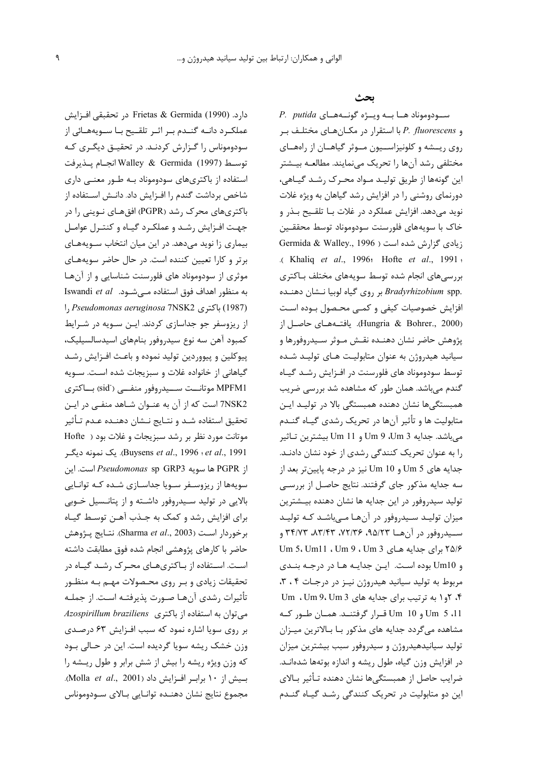دارد. (Frietas & Germida (1990 در تحقبقی افـزایش عملکرد دانـه گنـدم بـر اثـر تلقـيح بـا سـويههـائي از سودوموناس را گـزارش كردنـد. در تحقيـق ديگـرى كـه توسط (1997) Walley & Germida انجـام يـذيرفت استفاده از باکتریهای سودوموناد بـه طـور معنـی داری شاخص برداشت گندم را افـزایش داد. دانـش اسـتفاده از باکتریهای محرک رشد (PGPR) افقهـای نـوینی را در جهت افزایش رشد و عملکرد گیاه و کنترل عوامل بیماری زا نوید می،دهد. در این میان انتخاب سـویههـای برتر و کارا تعیین کننده است. در حال حاضر سویههای موثری از سودوموناد های فلورسنت شناسایی و از آنها به منظور اهداف فوق استفاده مے شــود. Iswandi et al (1987) باكترى Pseudomonas aeruginosa 7NSK2 را از ریزوسفر جو جداسازی کردند. ایـن سـویه در شـرایط كمبود آهن سه نوع سيدروفور بنامهاى اسيدسالسيليك، پیوکلین و پیووردین تولید نموده و باعث افـزایش رشـد گیاهانی از خانواده غلات و سبزیجات شده است. سـویه MPFM1 موتانــت ســـيدروفور منفـــي (sid) بـــاكترى 7NSK2 است که از آن به عنـوان شـاهد منفـى در ايـن تحقيق استفاده شـد و نتـايج نــشان دهنـده عـدم تـأثير موتانت مورد نظر بر رشد سبزيجات و غلات بود ( Hofte Buysens *et al.*, 1996 : et al., 1991. یک نمونه دیگر از PGPR ها سويه Pseudomonas sp GRP3 است. اين سویهها از ریزوسفر سویا جداسازی شده کـه توانـایی بالايي در توليد سـيدروفور داشـته و از پتانـسيل خـوبي برای افزایش رشد و کمک به جـذب آهـن توسـط گیـاه برخوردار است (Sharma et al., 2003). نتـايج پـژوهش حاضر با كارهاى يژوهشى انجام شده فوق مطابقت داشته است. استفاده از باکتریهای محرک رشـد گیـاه در تحقیقات زیادی و بـر روی محـصولات مهـم بـه منظـور تأثيرات رشدي آنهـا صـورت پذيرفتـه اسـت. از جملـه Azospirillum braziliens (باكترى Azospirillum braziliens بر روی سویا اشاره نمود که سبب افزایش ۶۳ درصدی وزن خشک ریشه سویا گردیده است. این در حـالی بـود كه وزن ويژه ريشه را بيش از شش برابر و طول ريشه را بسيش از ١٠ براب افزايش داد (Molla et al., 2001). مجموع نتايج نشان دهنـده توانـايي بـالاي ســودوموناس

ىحث

P. putida سودوموناد هـا بـه ويـژه گونـههـاى و P. fluorescens با استقرار در مكـانهـاى مختلـف بـر روی ریسشه و کلونیزاسیون میوثر گیاهیان از راههیای مختلفي رشد آنها ,ا تحريک مي نمايند. مطالعــه بيــشتر این گونهها از طریق تولیـد مـواد محـرک رشـد گیـاهی، دورنمای روشنی را در افزایش رشد گیاهان به ویژه غلات نوید میدهد. افزایش عملکرد در غلات بـا تلقـیح بـذر و خاک با سويههاى فلورسنت سودوموناد توسط محققـين Germida & Walley., 1996 ) نیادی گزارش شده است .( Khaliq et al., 1996: Hofte et al., 1991 : بررسی های انجام شده توسط سویههای مختلف بـاکتری .*Bradyrhizobium* spp بر روی گیاه لوبیا نــشان دهنــده افزایش خصوصیات کیفی و کمبی محصول بوده است (Hungria & Bohrer., 2000). يافتــههــاي حاصــل از پژوهش حاضر نشان دهنـده نقـش مـوثر سـيدروفورها و سیانید هیدروژن به عنوان متابولیت هـای تولیـد شـده توسط سودوموناد های فلورسنت در افزایش رشـد گیـاه گندم میباشد. همان طور که مشاهده شد بررسی ضریب همبستگیها نشان دهنده همبستگی بالا در تولیـد ایـن متابولیت ها و تأثیر آنها در تحریک رشدی گیـاه گنــدم میباشد. جدایه Um 9 ،Um 3 و Um 11 بیشترین تـاثیر را به عنوان تحریک کنندگی رشدی از خود نشان دادنـد. جدايه هاي 5 Um و 10 Um نيز در درجه پايينتر بعد از سه جدایه مذکور جای گرفتند. نتایج حاصل از بررسی توليد سيدروفور در اين جدايه ها نشان دهنده بيــشترين میزان تولیـد سـیدروفور در آنهـا مـیباشـد کـه تولیـد سيدروفور در آن هــا ٣٣/٧٣، ٧٢/٣٤، ٣٣/٧٣، ٣٣/٧٣ و ۲۵/۶ برای جدایه هـای Um 3، Um11 ، Um 9 ، Um 3 و Um10 بوده است. اين جدايه ها در درجه بندى مربوط به تولید سیانید هیدروژن نیـز در درجـات ۴، ۳، ۰۴ ، ۲و ۱ به ترتیب برای جدایه های Um . Um 9، Um 3 Um 5 ،11 و Um 10 قرار گرفتنـد. همـان طـور كـه مشاهده میگردد جدایه های مذکور بـا بـالاترین میـزان تولید سیانیدهیدروژن و سیدروفور سبب بیشترین میزان در افزایش وزن گیاه، طول ریشه و اندازه بوتهها شدهانـد. ضرایب حاصل از همبستگیها نشان دهنده تـأثیر بـالای این دو متابولیت در تحریک کنندگی رشـد گیـاه گنـدم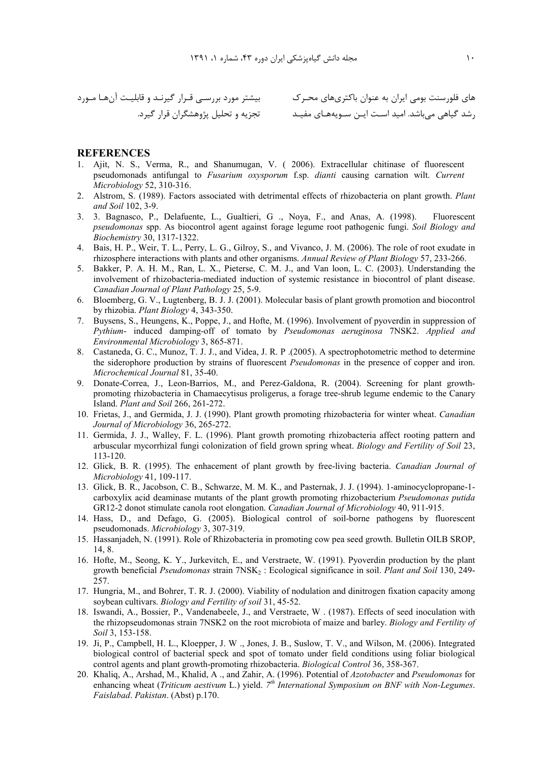### **REFERENCES**

- 1. Ajit, N. S., Verma, R., and Shanumugan, V. (2006). Extracellular chitinase of fluorescent pseudomonads antifungal to *Fusarium oxysporum* f.sp. *dianti* causing carnation wilt. Current Microbiology 52, 310-316.
- 2. Alstrom, S. (1989). Factors associated with detrimental effects of rhizobacteria on plant growth. Plant and Soil 102, 3-9.
- 3. 3. Bagnasco, P., Delafuente, L., Gualtieri, G., Noya, F., and Anas, A. (1998). Fluorescent pseudomonas spp. As biocontrol agent against forage legume root pathogenic fungi. Soil Biology and Biochemistry 30, 1317-1322.
- 4. Bais, H. P., Weir, T. L., Perry, L. G., Gilroy, S., and Vivanco, J. M. (2006). The role of root exudate in rhizosphere interactions with plants and other organisms. Annual Review of Plant Biology 57, 233-266.
- 5. Bakker, P. A. H. M., Ran, L. X., Pieterse, C. M. J., and Van loon, L. C. (2003). Understanding the involvement of rhizobacteria-mediated induction of systemic resistance in biocontrol of plant disease. Canadian Journal of Plant Pathology 25, 5-9.
- 6. Bloemberg, G. V., Lugtenberg, B. J. J. (2001). Molecular basis of plant growth promotion and biocontrol by rhizobia. Plant Biology 4, 343-350.
- 7. Buysens, S., Heungens, K., Poppe, J., and Hofte, M. (1996). Involvement of pyoverdin in suppression of Pythium- induced damping-off of tomato by Pseudomonas aeruginosa 7NSK2. Applied and Environmental Microbiology 3, 865-871.
- 8. Castaneda, G. C., Munoz, T. J. J., and Videa, J. R. P. (2005). A spectrophotometric method to determine the siderophore production by strains of fluorescent *Pseudomonas* in the presence of copper and iron. Microchemical Journal 81, 35-40.
- 9. Donate-Correa, J., Leon-Barrios, M., and Perez-Galdona, R. (2004). Screening for plant growthpromoting rhizobacteria in Chamaecytisus proligerus, a forage tree-shrub legume endemic to the Canary Island. Plant and Soil 266, 261-272.
- 10. Frietas, J., and Germida, J. J. (1990). Plant growth promoting rhizobacteria for winter wheat. Canadian Journal of Microbiology 36, 265-272.
- 11. Germida, J. J., Walley, F. L. (1996). Plant growth promoting rhizobacteria affect rooting pattern and arbuscular mycorrhizal fungi colonization of field grown spring wheat. Biology and Fertility of Soil 23, 113-120.
- 12. Glick, B. R. (1995). The enhacement of plant growth by free-living bacteria. Canadian Journal of Microbiology 41, 109-117.
- 13. Glick, B. R., Jacobson, C. B., Schwarze, M. M. K., and Pasternak, J. J. (1994). 1-aminocyclopropane-1carboxylix acid deaminase mutants of the plant growth promoting rhizobacterium *Pseudomonas putida* GR12-2 donot stimulate canola root elongation. Canadian Journal of Microbiology 40, 911-915.
- 14. Hass, D., and Defago, G. (2005). Biological control of soil-borne pathogens by fluorescent pseudomonads. Microbiology 3, 307-319.
- 15. Hassanjadeh, N. (1991). Role of Rhizobacteria in promoting cow pea seed growth. Bulletin OILB SROP, 14.8.
- 16. Hofte, M., Seong, K. Y., Jurkevitch, E., and Verstraete, W. (1991). Pyoverdin production by the plant growth beneficial Pseudomonas strain 7NSK<sub>2</sub>: Ecological significance in soil. Plant and Soil 130, 249-257.
- 17. Hungria, M., and Bohrer, T. R. J. (2000). Viability of nodulation and dinitrogen fixation capacity among soybean cultivars. *Biology and Fertility of soil* 31, 45-52.
- 18. Iswandi, A., Bossier, P., Vandenabeele, J., and Verstraete, W. (1987). Effects of seed inoculation with the rhizopseudomonas strain 7NSK2 on the root microbiota of maize and barley. Biology and Fertility of Soil 3, 153-158.
- 19. Ji, P., Campbell, H. L., Kloepper, J. W., Jones, J. B., Suslow, T. V., and Wilson, M. (2006). Integrated biological control of bacterial speck and spot of tomato under field conditions using foliar biological control agents and plant growth-promoting rhizobacteria. Biological Control 36, 358-367.
- 20. Khaliq, A., Arshad, M., Khalid, A., and Zahir, A. (1996). Potential of Azotobacter and Pseudomonas for enhancing wheat (Triticum aestivum L.) yield.  $7<sup>th</sup>$  International Symposium on BNF with Non-Legumes. Faislabad. Pakistan. (Abst) p.170.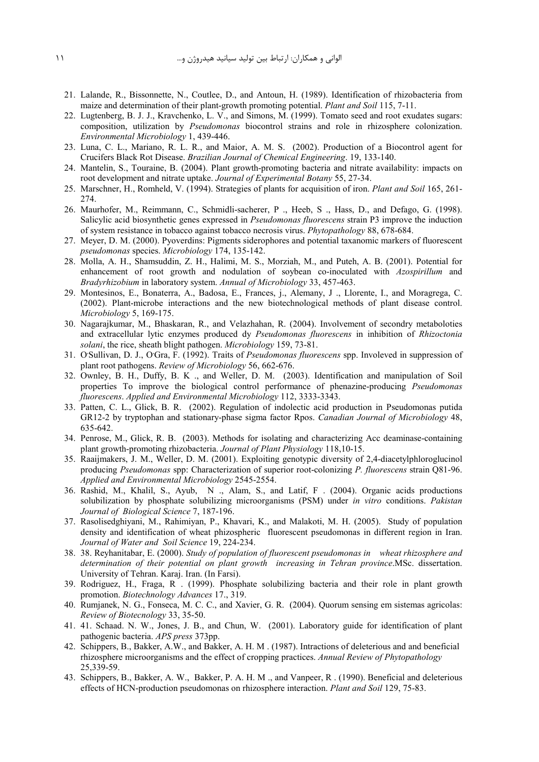- 21. Lalande, R., Bissonnette, N., Coutlee, D., and Antoun, H. (1989). Identification of rhizobacteria from maize and determination of their plant-growth promoting potential. *Plant and Soil* 115, 7-11.
- 22. Lugtenberg, B. J. J., Kravchenko, L. V., and Simons, M. (1999). Tomato seed and root exudates sugars: composition, utilization by *Pseudomonas* biocontrol strains and role in rhizosphere colonization. *Environmental Microbiology* 1, 439-446.
- 23. Luna, C. L., Mariano, R. L. R., and Maior, A. M. S. (2002). Production of a Biocontrol agent for Crucifers Black Rot Disease. *Brazilian Journal of Chemical Engineering*. 19, 133-140.
- 24. Mantelin, S., Touraine, B. (2004). Plant growth-promoting bacteria and nitrate availability: impacts on root development and nitrate uptake. *Journal of Experimental Botany* 55, 27-34.
- 25. Marschner, H., Romheld, V. (1994). Strategies of plants for acquisition of iron. *Plant and Soil* 165, 261- 274.
- 26. Maurhofer, M., Reimmann, C., Schmidli-sacherer, P ., Heeb, S ., Hass, D., and Defago, G. (1998). Salicylic acid biosynthetic genes expressed in *Pseudomonas fluorescens* strain P3 improve the induction of system resistance in tobacco against tobacco necrosis virus. *Phytopathology* 88, 678-684.
- 27. Meyer, D. M. (2000). Pyoverdins: Pigments siderophores and potential taxanomic markers of fluorescent *pseudomonas* species. *Microbiology* 174, 135-142.
- 28. Molla, A. H., Shamsuddin, Z. H., Halimi, M. S., Morziah, M., and Puteh, A. B. (2001). Potential for enhancement of root growth and nodulation of soybean co-inoculated with *Azospirillum* and *Bradyrhizobium* in laboratory system. *Annual of Microbiology* 33, 457-463.
- 29. Montesinos, E., Bonaterra, A., Badosa, E., Frances, j., Alemany, J ., Llorente, I., and Moragrega, C. (2002). Plant-microbe interactions and the new biotechnological methods of plant disease control. *Microbiology* 5, 169-175.
- 30. Nagarajkumar, M., Bhaskaran, R., and Velazhahan, R. (2004). Involvement of secondry metaboloties and extracellular lytic enzymes produced dy *Pseudomonas fluorescens* in inhibition of *Rhizoctonia solani*, the rice, sheath blight pathogen. *Microbiology* 159, 73-81.
- 31. O'Sullivan, D. J., O'Gra, F. (1992). Traits of *Pseudomonas fluorescens* spp. Involeved in suppression of plant root pathogens. *Review of Microbiology* 56, 662-676.
- 32. Ownley, B. H., Duffy, B. K ., and Weller, D. M. (2003). Identification and manipulation of Soil properties To improve the biological control performance of phenazine-producing *Pseudomonas fluorescens*. *Applied and Environmental Microbiology* 112, 3333-3343.
- 33. Patten, C. L., Glick, B. R. (2002). Regulation of indolectic acid production in Pseudomonas putida GR12-2 by tryptophan and stationary-phase sigma factor Rpos. *Canadian Journal of Microbiology* 48, 635-642.
- 34. Penrose, M., Glick, R. B. (2003). Methods for isolating and characterizing Acc deaminase-containing plant growth-promoting rhizobacteria. *Journal of Plant Physiology* 118,10-15.
- 35. Raaijmakers, J. M., Weller, D. M. (2001). Exploiting genotypic diversity of 2,4-diacetylphloroglucinol producing *Pseudomonas* spp: Characterization of superior root-colonizing *P. fluorescens* strain Q81-96. *Applied and Environmental Microbiology* 2545-2554.
- 36. Rashid, M., Khalil, S., Ayub, N ., Alam, S., and Latif, F . (2004). Organic acids productions solubilization by phosphate solubilizing microorganisms (PSM) under *in vitro* conditions. *Pakistan Journal of Biological Science* 7, 187-196.
- 37. Rasolisedghiyani, M., Rahimiyan, P., Khavari, K., and Malakoti, M. H. (2005). Study of population density and identification of wheat phizospheric fluorescent pseudomonas in different region in Iran. *Journal of Water and Soil Science* 19, 224-234.
- 38. 38. Reyhanitabar, E. (2000). *Study of population of fluorescent pseudomonas in wheat rhizosphere and determination of their potential on plant growth increasing in Tehran province*.MSc. dissertation. University of Tehran. Karaj. Iran. (In Farsi).
- 39. Rodriguez, H., Fraga, R . (1999). Phosphate solubilizing bacteria and their role in plant growth promotion. *Biotechnology Advances* 17., 319.
- 40. Rumjanek, N. G., Fonseca, M. C. C., and Xavier, G. R. (2004). Quorum sensing em sistemas agricolas: *Review of Biotecnology* 33, 35-50.
- 41. 41. Schaad. N. W., Jones, J. B., and Chun, W. (2001). Laboratory guide for identification of plant pathogenic bacteria. *APS press* 373pp.
- 42. Schippers, B., Bakker, A.W., and Bakker, A. H. M . (1987). Intractions of deleterious and and beneficial rhizosphere microorganisms and the effect of cropping practices. *Annual Review of Phytopathology* 25,339-59.
- 43. Schippers, B., Bakker, A. W., Bakker, P. A. H. M ., and Vanpeer, R . (1990). Beneficial and deleterious effects of HCN-production pseudomonas on rhizosphere interaction. *Plant and Soil* 129, 75-83.